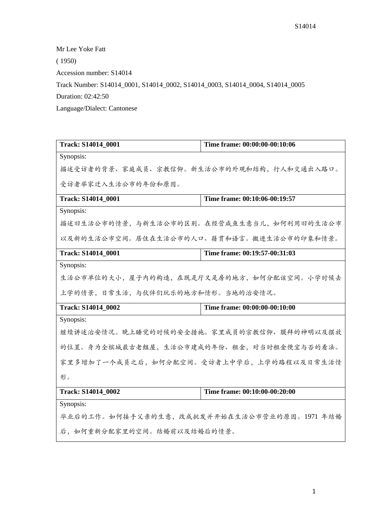Mr Lee Yoke Fatt

( 1950)

Accession number: S14014

Track Number: S14014\_0001, S14014\_0002, S14014\_0003, S14014\_0004, S14014\_0005

Duration: 02:42:50

Language/Dialect: Cantonese

| <b>Track: S14014 0001</b>                    | Time frame: 00:00:00-00:10:06 |  |
|----------------------------------------------|-------------------------------|--|
| Synopsis:                                    |                               |  |
| 描述受访者的背景、家庭成员、宗教信仰。新生活公市的外观和结构,行人和交通出入路口。    |                               |  |
| 受访者举家迁入生活公市的年份和原因。                           |                               |  |
| Track: S14014_0001                           | Time frame: 00:10:06-00:19:57 |  |
| Synopsis:                                    |                               |  |
| 描述旧生活公市的情景,与新生活公市的区别。在经营咸鱼生意当儿,如何利用旧的生活公市    |                               |  |
| 以及新的生活公市空间。居住在生活公市的人口、籍贯和语言。搬进生活公市的印象和情景。    |                               |  |
| <b>Track: S14014_0001</b>                    | Time frame: 00:19:57-00:31:03 |  |
| Synopsis:                                    |                               |  |
| 生活公市单位的大小,屋子内的构造,在既是厅又是房的地方,如何分配该空间。小学时候去    |                               |  |
| 上学的情景,日常生活,与伙伴们玩乐的地方和情形。当地的治安情况。             |                               |  |
| Track: S14014 0002                           | Time frame: 00:00:00-00:10:00 |  |
| Synopsis:                                    |                               |  |
| 继续讲述治安情况。晚上睡觉的时候的安全措施。家里成员的宗教信仰、膜拜的神明以及摆放    |                               |  |
| 的位置。身为全槟城最古老组屋,生活公市建成的年份、租金,对当时租金便宜与否的看法。    |                               |  |
| 家里多增加了一个成员之后,如何分配空间。受访者上中学后,上学的路程以及日常生活情     |                               |  |
| 形。                                           |                               |  |
| Track: S14014 0002                           | Time frame: 00:10:00-00:20:00 |  |
| Synopsis:                                    |                               |  |
| 毕业后的工作。如何接手父亲的生意, 改成批发并开始在生活公市营业的原因。1971 年结婚 |                               |  |
| 后,如何重新分配家里的空间。结婚前以及结婚后的情景。                   |                               |  |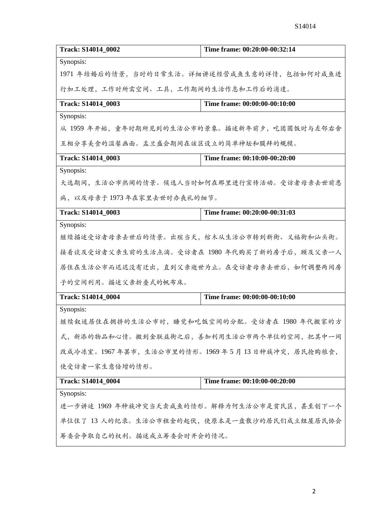| Track: S14014_0002                            | Time frame: 00:20:00-00:32:14                  |
|-----------------------------------------------|------------------------------------------------|
| Synopsis:                                     |                                                |
|                                               | 1971 年结婚后的情景,当时的日常生活。详细讲述经营成鱼生意的详情,包括如何对成鱼进    |
| 行加工处理,工作时所需空间、工具,工作期间的生活作息和工作后的消遣。            |                                                |
| Track: S14014_0003                            | Time frame: 00:00:00-00:10:00                  |
| Synopsis:                                     |                                                |
|                                               | 从 1959 年开始, 童年时期所见到的生活公市的景象。描述新年前夕, 吃团圆饭时与左邻右舍 |
| 互相分享美食的温馨画面。盂兰盛会期间在该区设立的简单神坛和膜拜的规模。           |                                                |
| Track: S14014_0003                            | Time frame: 00:10:00-00:20:00                  |
| Synopsis:                                     |                                                |
|                                               | 大选期间,生活公市热闹的情景。候选人当时如何在那里进行宣传活动。受访者母亲去世前患      |
| 病,以及母亲于1973年在家里去世时办丧礼的细节。                     |                                                |
| Track: S14014_0003                            | Time frame: 00:20:00-00:31:03                  |
| Synopsis:                                     |                                                |
| 继续描述受访者母亲去世后的情景。出殡当天,棺木从生活公市转到新街、义福街和汕头街。     |                                                |
|                                               | 接着谈及受访者父亲生前的生活点滴。受访者在 1980 年代购买了新的房子后,顾及父亲一人   |
|                                               | 居住在生活公市而迟迟没有迁出,直到父亲逝世为止。在受访者母亲去世后,如何调整两间房      |
| 子的空间利用。描述父亲折叠式的帆布床。                           |                                                |
| Track: S14014_0004                            | Time frame: 00:00:00-00:10:00                  |
| Synopsis:                                     |                                                |
| 继续叙述居住在拥挤的生活公市时,睡觉和吃饭空间的分配。受访者在 1980 年代搬家的方   |                                                |
| 式, 新添的物品和心情。搬到金联益街之后, 善加利用生活公市两个单位的空间, 把其中一间  |                                                |
| 改成冷冻室。1967年罢市,生活公市里的情形。1969年5月13日种族冲突,居民抢购粮食, |                                                |
| 使受访者一家生意倍增的情形。                                |                                                |
| Track: S14014_0004                            | Time frame: 00:10:00-00:20:00                  |
| Synopsis:                                     |                                                |
| 进一步讲述 1969 年种族冲突当天卖咸鱼的情形。解释为何生活公市是贫民区,甚至创下一个  |                                                |
| 单位住了 13 人的纪录。生活公市租金的起伏, 使原本是一盘散沙的居民们成立组屋居民协会  |                                                |
| 筹委会争取自己的权利。描述成立筹委会时开会的情况。                     |                                                |
|                                               |                                                |

2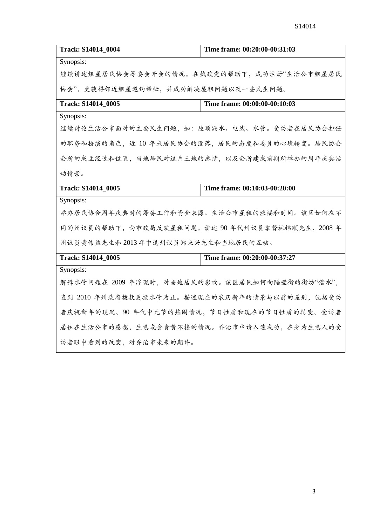| <b>Track: S14014 0004</b>                     | Time frame: 00:20:00-00:31:03              |
|-----------------------------------------------|--------------------------------------------|
| Synopsis:                                     |                                            |
|                                               | 继续讲述组屋居民协会筹委会开会的情况。在执政党的帮助下,成功注册"生活公市组屋居民  |
| 协会",更获得邻近组屋邀约帮忙,并成功解决屋租问题以及一些民生问题。            |                                            |
| Track: S14014 0005                            | Time frame: 00:00:00-00:10:03              |
| Synopsis:                                     |                                            |
|                                               | 继续讨论生活公市面对的主要民生问题,如:屋顶漏水、电线、水管。受访者在居民协会担任  |
|                                               | 的职务和扮演的角色,近 10年来居民协会的没落,居民的态度和委员的心境转变。居民协会 |
|                                               | 会所的成立经过和位置,当地居民对这片土地的感情,以及会所建成前期所举办的周年庆典活  |
| 动情景。                                          |                                            |
| <b>Track: S14014 0005</b>                     | Time frame: 00:10:03-00:20:00              |
| Synopsis:                                     |                                            |
| 举办居民协会周年庆典时的筹备工作和资金来源。生活公市屋租的涨幅和时间。该区如何在不     |                                            |
| 同的州议员的帮助下,向市政局反映屋租问题。讲述90年代州议员拿督林锦顺先生, 2008年  |                                            |
| 州议员黄伟益先生和2013年中选州议员郑来兴先生和当地居民的互动。             |                                            |
| Track: S14014_0005                            | Time frame: 00:20:00-00:37:27              |
| Synopsis:                                     |                                            |
| 解释水管问题在 2009 年浮现时,对当地居民的影响。该区居民如何向隔壁街的街坊"借水", |                                            |
| 直到 2010 年州政府拨款更换水管为止。描述现在的农历新年的情景与以前的差别, 包括受访 |                                            |
| 者庆祝新年的现况。90年代中元节的热闹情况,节日性质和现在的节日性质的转变。受访者     |                                            |
| 居住在生活公市的感想,生意或会青黄不接的情况。乔治市申请入遗成功,在身为生意人的受     |                                            |
| 访者眼中看到的改变, 对乔治市未来的期许。                         |                                            |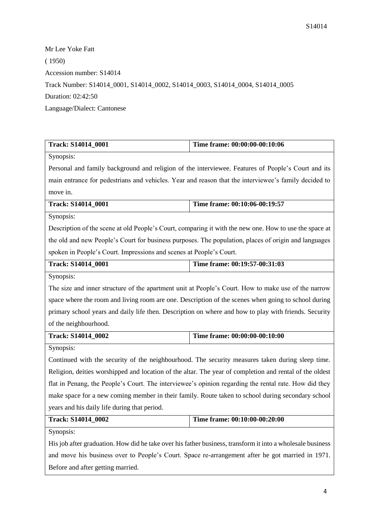Mr Lee Yoke Fatt ( 1950) Accession number: S14014 Track Number: S14014\_0001, S14014\_0002, S14014\_0003, S14014\_0004, S14014\_0005 Duration: 02:42:50 Language/Dialect: Cantonese

| Track: S14014_0001                                                                                         | Time frame: 00:00:00-00:10:06                                                                          |
|------------------------------------------------------------------------------------------------------------|--------------------------------------------------------------------------------------------------------|
| Synopsis:                                                                                                  |                                                                                                        |
|                                                                                                            | Personal and family background and religion of the interviewee. Features of People's Court and its     |
|                                                                                                            | main entrance for pedestrians and vehicles. Year and reason that the interviewee's family decided to   |
| move in.                                                                                                   |                                                                                                        |
| <b>Track: S14014 0001</b>                                                                                  | Time frame: 00:10:06-00:19:57                                                                          |
| Synopsis:                                                                                                  |                                                                                                        |
|                                                                                                            | Description of the scene at old People's Court, comparing it with the new one. How to use the space at |
|                                                                                                            | the old and new People's Court for business purposes. The population, places of origin and languages   |
| spoken in People's Court. Impressions and scenes at People's Court.                                        |                                                                                                        |
| Track: S14014_0001                                                                                         | Time frame: 00:19:57-00:31:03                                                                          |
| Synopsis:                                                                                                  |                                                                                                        |
| The size and inner structure of the apartment unit at People's Court. How to make use of the narrow        |                                                                                                        |
|                                                                                                            | space where the room and living room are one. Description of the scenes when going to school during    |
|                                                                                                            | primary school years and daily life then. Description on where and how to play with friends. Security  |
| of the neighbourhood.                                                                                      |                                                                                                        |
| Track: S14014_0002                                                                                         | Time frame: 00:00:00-00:10:00                                                                          |
| Synopsis:                                                                                                  |                                                                                                        |
| Continued with the security of the neighbourhood. The security measures taken during sleep time.           |                                                                                                        |
| Religion, deities worshipped and location of the altar. The year of completion and rental of the oldest    |                                                                                                        |
| flat in Penang, the People's Court. The interviewee's opinion regarding the rental rate. How did they      |                                                                                                        |
| make space for a new coming member in their family. Route taken to school during secondary school          |                                                                                                        |
| years and his daily life during that period.                                                               |                                                                                                        |
| <b>Track: S14014_0002</b>                                                                                  | <b>Time frame: 00:10:00-00:20:00</b>                                                                   |
| Synopsis:                                                                                                  |                                                                                                        |
| His job after graduation. How did he take over his father business, transform it into a wholesale business |                                                                                                        |
| and move his business over to People's Court. Space re-arrangement after he got married in 1971.           |                                                                                                        |
| Before and after getting married.                                                                          |                                                                                                        |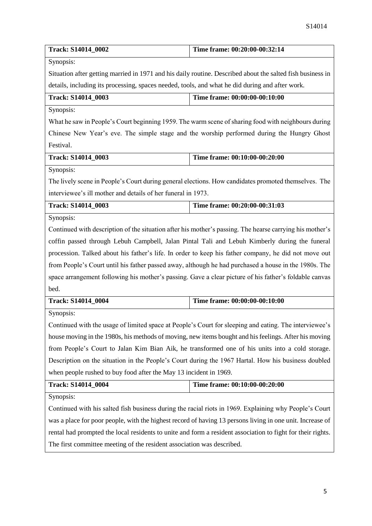| Synopsis:<br>Situation after getting married in 1971 and his daily routine. Described about the salted fish business in<br>details, including its processing, spaces needed, tools, and what he did during and after work.<br>Time frame: 00:00:00-00:10:00<br>Track: S14014_0003<br>Synopsis:<br>What he saw in People's Court beginning 1959. The warm scene of sharing food with neighbours during<br>Chinese New Year's eve. The simple stage and the worship performed during the Hungry Ghost<br>Festival.<br>Track: S14014_0003<br>Time frame: 00:10:00-00:20:00<br>Synopsis:<br>The lively scene in People's Court during general elections. How candidates promoted themselves. The<br>interviewee's ill mother and details of her funeral in 1973.<br>Time frame: 00:20:00-00:31:03<br>Track: S14014_0003<br>Synopsis:<br>Continued with description of the situation after his mother's passing. The hearse carrying his mother's<br>coffin passed through Lebuh Campbell, Jalan Pintal Tali and Lebuh Kimberly during the funeral<br>procession. Talked about his father's life. In order to keep his father company, he did not move out<br>from People's Court until his father passed away, although he had purchased a house in the 1980s. The<br>space arrangement following his mother's passing. Gave a clear picture of his father's foldable canvas<br>bed.<br>Track: S14014_0004<br>Time frame: 00:00:00-00:10:00<br>Synopsis:<br>Continued with the usage of limited space at People's Court for sleeping and eating. The interviewee's<br>house moving in the 1980s, his methods of moving, new items bought and his feelings. After his moving<br>from People's Court to Jalan Kim Bian Aik, he transformed one of his units into a cold storage.<br>Description on the situation in the People's Court during the 1967 Hartal. How his business doubled<br>when people rushed to buy food after the May 13 incident in 1969.<br>Time frame: 00:10:00-00:20:00<br>Track: S14014_0004<br>Synopsis:<br>Continued with his salted fish business during the racial riots in 1969. Explaining why People's Court<br>was a place for poor people, with the highest record of having 13 persons living in one unit. Increase of<br>rental had prompted the local residents to unite and form a resident association to fight for their rights.<br>The first committee meeting of the resident association was described. | Track: S14014_0002 | Time frame: 00:20:00-00:32:14 |
|--------------------------------------------------------------------------------------------------------------------------------------------------------------------------------------------------------------------------------------------------------------------------------------------------------------------------------------------------------------------------------------------------------------------------------------------------------------------------------------------------------------------------------------------------------------------------------------------------------------------------------------------------------------------------------------------------------------------------------------------------------------------------------------------------------------------------------------------------------------------------------------------------------------------------------------------------------------------------------------------------------------------------------------------------------------------------------------------------------------------------------------------------------------------------------------------------------------------------------------------------------------------------------------------------------------------------------------------------------------------------------------------------------------------------------------------------------------------------------------------------------------------------------------------------------------------------------------------------------------------------------------------------------------------------------------------------------------------------------------------------------------------------------------------------------------------------------------------------------------------------------------------------------------------------------------------------------------------------------------------------------------------------------------------------------------------------------------------------------------------------------------------------------------------------------------------------------------------------------------------------------------------------------------------------------------------------------------------------------------------------------------------------------------------------------------------|--------------------|-------------------------------|
|                                                                                                                                                                                                                                                                                                                                                                                                                                                                                                                                                                                                                                                                                                                                                                                                                                                                                                                                                                                                                                                                                                                                                                                                                                                                                                                                                                                                                                                                                                                                                                                                                                                                                                                                                                                                                                                                                                                                                                                                                                                                                                                                                                                                                                                                                                                                                                                                                                            |                    |                               |
|                                                                                                                                                                                                                                                                                                                                                                                                                                                                                                                                                                                                                                                                                                                                                                                                                                                                                                                                                                                                                                                                                                                                                                                                                                                                                                                                                                                                                                                                                                                                                                                                                                                                                                                                                                                                                                                                                                                                                                                                                                                                                                                                                                                                                                                                                                                                                                                                                                            |                    |                               |
|                                                                                                                                                                                                                                                                                                                                                                                                                                                                                                                                                                                                                                                                                                                                                                                                                                                                                                                                                                                                                                                                                                                                                                                                                                                                                                                                                                                                                                                                                                                                                                                                                                                                                                                                                                                                                                                                                                                                                                                                                                                                                                                                                                                                                                                                                                                                                                                                                                            |                    |                               |
|                                                                                                                                                                                                                                                                                                                                                                                                                                                                                                                                                                                                                                                                                                                                                                                                                                                                                                                                                                                                                                                                                                                                                                                                                                                                                                                                                                                                                                                                                                                                                                                                                                                                                                                                                                                                                                                                                                                                                                                                                                                                                                                                                                                                                                                                                                                                                                                                                                            |                    |                               |
|                                                                                                                                                                                                                                                                                                                                                                                                                                                                                                                                                                                                                                                                                                                                                                                                                                                                                                                                                                                                                                                                                                                                                                                                                                                                                                                                                                                                                                                                                                                                                                                                                                                                                                                                                                                                                                                                                                                                                                                                                                                                                                                                                                                                                                                                                                                                                                                                                                            |                    |                               |
|                                                                                                                                                                                                                                                                                                                                                                                                                                                                                                                                                                                                                                                                                                                                                                                                                                                                                                                                                                                                                                                                                                                                                                                                                                                                                                                                                                                                                                                                                                                                                                                                                                                                                                                                                                                                                                                                                                                                                                                                                                                                                                                                                                                                                                                                                                                                                                                                                                            |                    |                               |
|                                                                                                                                                                                                                                                                                                                                                                                                                                                                                                                                                                                                                                                                                                                                                                                                                                                                                                                                                                                                                                                                                                                                                                                                                                                                                                                                                                                                                                                                                                                                                                                                                                                                                                                                                                                                                                                                                                                                                                                                                                                                                                                                                                                                                                                                                                                                                                                                                                            |                    |                               |
|                                                                                                                                                                                                                                                                                                                                                                                                                                                                                                                                                                                                                                                                                                                                                                                                                                                                                                                                                                                                                                                                                                                                                                                                                                                                                                                                                                                                                                                                                                                                                                                                                                                                                                                                                                                                                                                                                                                                                                                                                                                                                                                                                                                                                                                                                                                                                                                                                                            |                    |                               |
|                                                                                                                                                                                                                                                                                                                                                                                                                                                                                                                                                                                                                                                                                                                                                                                                                                                                                                                                                                                                                                                                                                                                                                                                                                                                                                                                                                                                                                                                                                                                                                                                                                                                                                                                                                                                                                                                                                                                                                                                                                                                                                                                                                                                                                                                                                                                                                                                                                            |                    |                               |
|                                                                                                                                                                                                                                                                                                                                                                                                                                                                                                                                                                                                                                                                                                                                                                                                                                                                                                                                                                                                                                                                                                                                                                                                                                                                                                                                                                                                                                                                                                                                                                                                                                                                                                                                                                                                                                                                                                                                                                                                                                                                                                                                                                                                                                                                                                                                                                                                                                            |                    |                               |
|                                                                                                                                                                                                                                                                                                                                                                                                                                                                                                                                                                                                                                                                                                                                                                                                                                                                                                                                                                                                                                                                                                                                                                                                                                                                                                                                                                                                                                                                                                                                                                                                                                                                                                                                                                                                                                                                                                                                                                                                                                                                                                                                                                                                                                                                                                                                                                                                                                            |                    |                               |
|                                                                                                                                                                                                                                                                                                                                                                                                                                                                                                                                                                                                                                                                                                                                                                                                                                                                                                                                                                                                                                                                                                                                                                                                                                                                                                                                                                                                                                                                                                                                                                                                                                                                                                                                                                                                                                                                                                                                                                                                                                                                                                                                                                                                                                                                                                                                                                                                                                            |                    |                               |
|                                                                                                                                                                                                                                                                                                                                                                                                                                                                                                                                                                                                                                                                                                                                                                                                                                                                                                                                                                                                                                                                                                                                                                                                                                                                                                                                                                                                                                                                                                                                                                                                                                                                                                                                                                                                                                                                                                                                                                                                                                                                                                                                                                                                                                                                                                                                                                                                                                            |                    |                               |
|                                                                                                                                                                                                                                                                                                                                                                                                                                                                                                                                                                                                                                                                                                                                                                                                                                                                                                                                                                                                                                                                                                                                                                                                                                                                                                                                                                                                                                                                                                                                                                                                                                                                                                                                                                                                                                                                                                                                                                                                                                                                                                                                                                                                                                                                                                                                                                                                                                            |                    |                               |
|                                                                                                                                                                                                                                                                                                                                                                                                                                                                                                                                                                                                                                                                                                                                                                                                                                                                                                                                                                                                                                                                                                                                                                                                                                                                                                                                                                                                                                                                                                                                                                                                                                                                                                                                                                                                                                                                                                                                                                                                                                                                                                                                                                                                                                                                                                                                                                                                                                            |                    |                               |
|                                                                                                                                                                                                                                                                                                                                                                                                                                                                                                                                                                                                                                                                                                                                                                                                                                                                                                                                                                                                                                                                                                                                                                                                                                                                                                                                                                                                                                                                                                                                                                                                                                                                                                                                                                                                                                                                                                                                                                                                                                                                                                                                                                                                                                                                                                                                                                                                                                            |                    |                               |
|                                                                                                                                                                                                                                                                                                                                                                                                                                                                                                                                                                                                                                                                                                                                                                                                                                                                                                                                                                                                                                                                                                                                                                                                                                                                                                                                                                                                                                                                                                                                                                                                                                                                                                                                                                                                                                                                                                                                                                                                                                                                                                                                                                                                                                                                                                                                                                                                                                            |                    |                               |
|                                                                                                                                                                                                                                                                                                                                                                                                                                                                                                                                                                                                                                                                                                                                                                                                                                                                                                                                                                                                                                                                                                                                                                                                                                                                                                                                                                                                                                                                                                                                                                                                                                                                                                                                                                                                                                                                                                                                                                                                                                                                                                                                                                                                                                                                                                                                                                                                                                            |                    |                               |
|                                                                                                                                                                                                                                                                                                                                                                                                                                                                                                                                                                                                                                                                                                                                                                                                                                                                                                                                                                                                                                                                                                                                                                                                                                                                                                                                                                                                                                                                                                                                                                                                                                                                                                                                                                                                                                                                                                                                                                                                                                                                                                                                                                                                                                                                                                                                                                                                                                            |                    |                               |
|                                                                                                                                                                                                                                                                                                                                                                                                                                                                                                                                                                                                                                                                                                                                                                                                                                                                                                                                                                                                                                                                                                                                                                                                                                                                                                                                                                                                                                                                                                                                                                                                                                                                                                                                                                                                                                                                                                                                                                                                                                                                                                                                                                                                                                                                                                                                                                                                                                            |                    |                               |
|                                                                                                                                                                                                                                                                                                                                                                                                                                                                                                                                                                                                                                                                                                                                                                                                                                                                                                                                                                                                                                                                                                                                                                                                                                                                                                                                                                                                                                                                                                                                                                                                                                                                                                                                                                                                                                                                                                                                                                                                                                                                                                                                                                                                                                                                                                                                                                                                                                            |                    |                               |
|                                                                                                                                                                                                                                                                                                                                                                                                                                                                                                                                                                                                                                                                                                                                                                                                                                                                                                                                                                                                                                                                                                                                                                                                                                                                                                                                                                                                                                                                                                                                                                                                                                                                                                                                                                                                                                                                                                                                                                                                                                                                                                                                                                                                                                                                                                                                                                                                                                            |                    |                               |
|                                                                                                                                                                                                                                                                                                                                                                                                                                                                                                                                                                                                                                                                                                                                                                                                                                                                                                                                                                                                                                                                                                                                                                                                                                                                                                                                                                                                                                                                                                                                                                                                                                                                                                                                                                                                                                                                                                                                                                                                                                                                                                                                                                                                                                                                                                                                                                                                                                            |                    |                               |
|                                                                                                                                                                                                                                                                                                                                                                                                                                                                                                                                                                                                                                                                                                                                                                                                                                                                                                                                                                                                                                                                                                                                                                                                                                                                                                                                                                                                                                                                                                                                                                                                                                                                                                                                                                                                                                                                                                                                                                                                                                                                                                                                                                                                                                                                                                                                                                                                                                            |                    |                               |
|                                                                                                                                                                                                                                                                                                                                                                                                                                                                                                                                                                                                                                                                                                                                                                                                                                                                                                                                                                                                                                                                                                                                                                                                                                                                                                                                                                                                                                                                                                                                                                                                                                                                                                                                                                                                                                                                                                                                                                                                                                                                                                                                                                                                                                                                                                                                                                                                                                            |                    |                               |
|                                                                                                                                                                                                                                                                                                                                                                                                                                                                                                                                                                                                                                                                                                                                                                                                                                                                                                                                                                                                                                                                                                                                                                                                                                                                                                                                                                                                                                                                                                                                                                                                                                                                                                                                                                                                                                                                                                                                                                                                                                                                                                                                                                                                                                                                                                                                                                                                                                            |                    |                               |
|                                                                                                                                                                                                                                                                                                                                                                                                                                                                                                                                                                                                                                                                                                                                                                                                                                                                                                                                                                                                                                                                                                                                                                                                                                                                                                                                                                                                                                                                                                                                                                                                                                                                                                                                                                                                                                                                                                                                                                                                                                                                                                                                                                                                                                                                                                                                                                                                                                            |                    |                               |
|                                                                                                                                                                                                                                                                                                                                                                                                                                                                                                                                                                                                                                                                                                                                                                                                                                                                                                                                                                                                                                                                                                                                                                                                                                                                                                                                                                                                                                                                                                                                                                                                                                                                                                                                                                                                                                                                                                                                                                                                                                                                                                                                                                                                                                                                                                                                                                                                                                            |                    |                               |
|                                                                                                                                                                                                                                                                                                                                                                                                                                                                                                                                                                                                                                                                                                                                                                                                                                                                                                                                                                                                                                                                                                                                                                                                                                                                                                                                                                                                                                                                                                                                                                                                                                                                                                                                                                                                                                                                                                                                                                                                                                                                                                                                                                                                                                                                                                                                                                                                                                            |                    |                               |
|                                                                                                                                                                                                                                                                                                                                                                                                                                                                                                                                                                                                                                                                                                                                                                                                                                                                                                                                                                                                                                                                                                                                                                                                                                                                                                                                                                                                                                                                                                                                                                                                                                                                                                                                                                                                                                                                                                                                                                                                                                                                                                                                                                                                                                                                                                                                                                                                                                            |                    |                               |
|                                                                                                                                                                                                                                                                                                                                                                                                                                                                                                                                                                                                                                                                                                                                                                                                                                                                                                                                                                                                                                                                                                                                                                                                                                                                                                                                                                                                                                                                                                                                                                                                                                                                                                                                                                                                                                                                                                                                                                                                                                                                                                                                                                                                                                                                                                                                                                                                                                            |                    |                               |
|                                                                                                                                                                                                                                                                                                                                                                                                                                                                                                                                                                                                                                                                                                                                                                                                                                                                                                                                                                                                                                                                                                                                                                                                                                                                                                                                                                                                                                                                                                                                                                                                                                                                                                                                                                                                                                                                                                                                                                                                                                                                                                                                                                                                                                                                                                                                                                                                                                            |                    |                               |
|                                                                                                                                                                                                                                                                                                                                                                                                                                                                                                                                                                                                                                                                                                                                                                                                                                                                                                                                                                                                                                                                                                                                                                                                                                                                                                                                                                                                                                                                                                                                                                                                                                                                                                                                                                                                                                                                                                                                                                                                                                                                                                                                                                                                                                                                                                                                                                                                                                            |                    |                               |